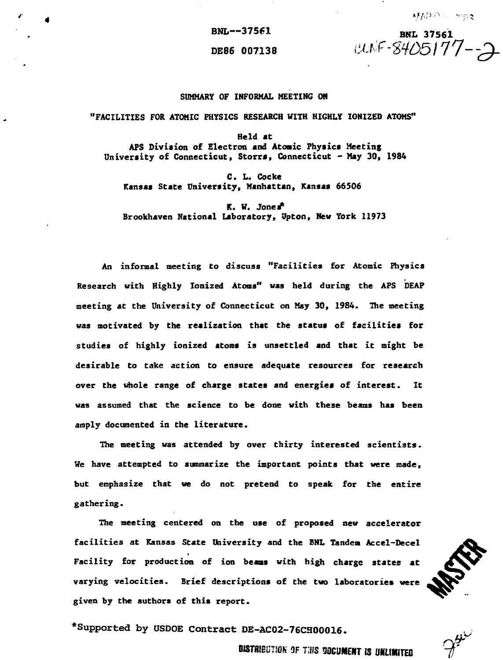#### DE86 007138 *i<sup>k</sup>*

**BNL--375fl BN <sup>L</sup>** *j£f'^O5l 77~~*

### **SUMMARY OF INFORMAL MEETING ON**

## **"FACILITIES FOR ATOMIC PHYSICS RESEARCH WITH HIGHLY IONIZED ATOMS"**

**Held at APS Division of Electron and Atonic Physics Meeting University of Connecticut, Storra, Connecticut - May 30, 1984**

**C. L. Cocke Kansas State University, Manhattan, Kansas 66506**

**K. W. Jones\* Brookhaven National Laboratory, Upton, New York 11973**

**An informal meeting to discuss "Facilities for Atomic Physics Research with Highly Ionized Atoms" was held during the APS DEAP meeting at the University of Connecticut on May 30, 1984. The meeting was motivated by the realization that the status of facilities for studies of highly ionized atoms is unsettled and that it might be desirable to take action to ensure adequate resources for research over the whole range of charge states and energies of interest. It was assumed that the science to be done with these beams has been amply documented in the literature.**

**The meeting was attended by over thirty interested scientists. We have attempted to summarize the important points that were made, but emphasize that we do not pretend to speak for the entire gathering.**

**The meeting centered on the use of proposed new accelerator facilities at Kansas State University and the BNL Tandem Accel-Decel Facility for production of ion beaas with high charge states at varying velocities. Brief descriptions of the two laboratories were given by the authors of this report.**

**•Supported by OSDOE Contract DE-AC02-76CH00Q16.**

**BISTRIBUTION 3F THIS DOCUMENT IS UNLIMITED**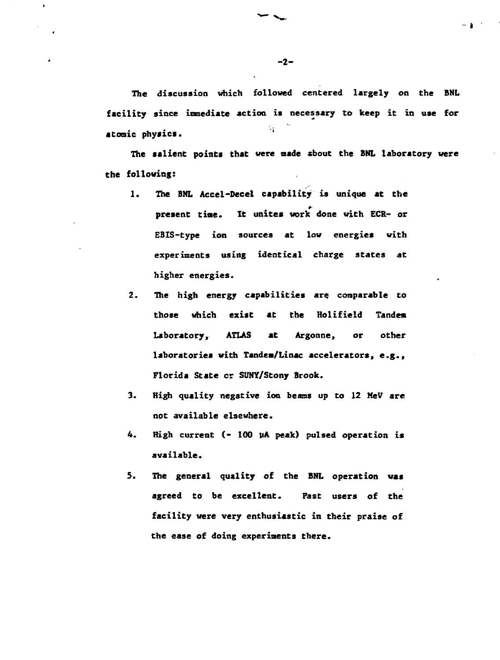**The discussion which followed centered largely on the BNL facility since inmediate action it necessary to keep it in use for atonic phyaics. '**

**The salient points that were aade xbout the BNL laboratory were the following:**

- **1. The BNL Accel-Decel capability is unique at the present tine. It unites work done with ECR- or EBIS-type ion sources at low energies with experiments using identical charge states at higher energies.**
- **2. The high energy capabilities are comparable to those which exist at the Hoiifield Tandem Laboratory, ATLAS at Argonne, or other laboratories with Tandea/Linac accelerators, e.g., Florida State or SUNY/Stony Brook.**
- **3. High quality negative ion beans up to 12 MeV are not available elsewhere.**
- **4. High current (- 100 liA peak} pulsed operation is available.**
- **5. The general quality of the BNL operation was agreed to be excellent. Fast users of the facility were very enthusiastic in their praise of the ease of doing experiments there.**

**- 2-**

 $\blacksquare$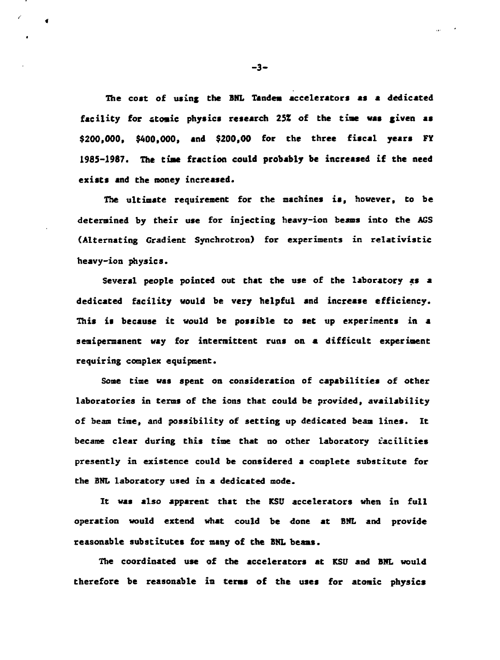**The coat of using the BHL Tandem accelerators as a dedicated** facility for atomic physics research 25% of the time was given as **\$200,000, \$400,000, and \$200,00 for the three fiscal years FY 1985-1987. The tiae fraction could probably be increased if the need exists and the money increased.**

**The ultimate requirement for the machines is, however, to be determined by their use for injecting heavy-ion beams into the ACS (Alternating Gradient Synchrotron) for experiments in relativistic heavy-ion physics.**

**Several people pointed out that the use of the laboratory as a dedicated facility would be very helpful and increase efficiency. This is because it would be possible to set up experiments in a semipermanent way for intermittent runs on a difficult experiment requiring complex equipment.**

**Some time was spent on consideration of capabilities of other laboratories in terms of the ions that could be provided, availability of beam time, and possibility of setting up dedicated beam lines. It became clear during this time that no other laboratory facilities presently in existence could be considered a complete substitute for the BNL laboratory used in a dedicated node.**

**It was also apparent that the KS0 accelerators when in full operation would extend what could be done at BNL and provide reasonable substitutes for many of the BHL beams.**

**The coordinated use of the accelerators at KSD and BNL would therefore be reasonable in terns of the uses for atomic physics**

**-3-**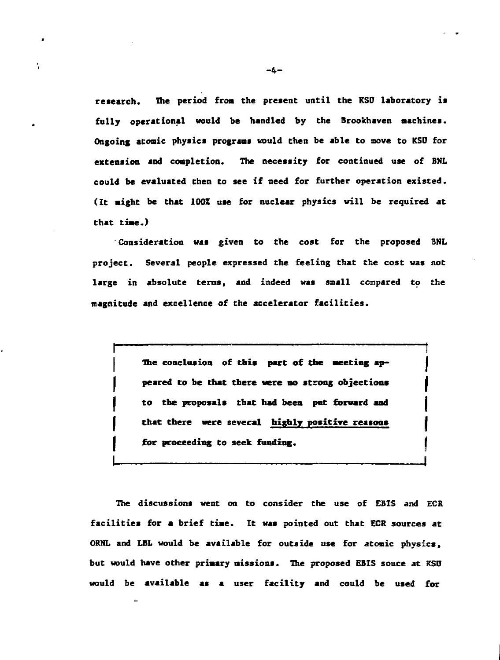**research. The period from the present until the KSO laboratory ia fully operational would be handled by the Brookhaven machines. Ongoing atonic physics programs would then be able to move to KSU for extension and completion. The necessity for continued use of BNL could be evaluated then to see if need for further operation existed. (It might be that 100Z use for nuclear physics will be required at that time.)**

**' Consideration was given to the cost for the proposed BNL project. Several people expressed the feeling that the cost was not large in absolute terns, and indeed was small compared to the magnitude and excellence of the accelerator facilities.**

> **The conclusion of this part of the meeting appeared to be that there Mere no strong objections to the proposals that had been put forward and Chat there were several highly positive reasons for proceeding to seek funding.**

**The discussions went on to consider the use of EBIS and ECR facilities for a brief time. It was pointed out that ECR sources at ORNL and LBL would be available for outside use for atomic physics, but would have other primary missions. The proposed EBIS souce at KSU would be available as a user facility and could be used for**